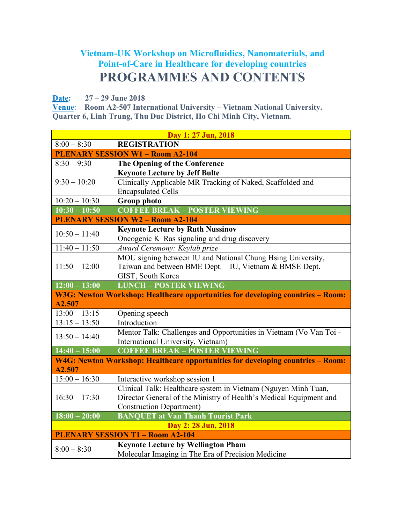## **Vietnam-UK Workshop on Microfluidics, Nanomaterials, and Point-of-Care in Healthcare for developing countries PROGRAMMES AND CONTENTS**

**Date: 27 – 29 June 2018** 

**Venue**: **Room A2-507 International University – Vietnam National University. Quarter 6, Linh Trung, Thu Duc District, Ho Chi Minh City, Vietnam**.

| Day 1: 27 Jun, 2018                     |                                                                                 |  |
|-----------------------------------------|---------------------------------------------------------------------------------|--|
| $8:00 - 8:30$                           | <b>REGISTRATION</b>                                                             |  |
| <b>PLENARY SESSION W1 - Room A2-104</b> |                                                                                 |  |
| $8:30 - 9:30$                           | The Opening of the Conference                                                   |  |
| $9:30 - 10:20$                          | <b>Keynote Lecture by Jeff Bulte</b>                                            |  |
|                                         | Clinically Applicable MR Tracking of Naked, Scaffolded and                      |  |
|                                         | <b>Encapsulated Cells</b>                                                       |  |
| $10:20 - 10:30$                         | <b>Group photo</b>                                                              |  |
| $10:30 - 10:50$                         | <b>COFFEE BREAK - POSTER VIEWING</b>                                            |  |
|                                         | <b>PLENARY SESSION W2 - Room A2-104</b>                                         |  |
| $10:50 - 11:40$                         | <b>Keynote Lecture by Ruth Nussinov</b>                                         |  |
|                                         | Oncogenic K-Ras signaling and drug discovery                                    |  |
| $11:40 - 11:50$                         | Award Ceremony: Keylab prize                                                    |  |
|                                         | MOU signing between IU and National Chung Hsing University,                     |  |
| $11:50 - 12:00$                         | Taiwan and between BME Dept. - IU, Vietnam & BMSE Dept. -                       |  |
|                                         | GIST, South Korea                                                               |  |
| $12:00 - 13:00$                         | <b>LUNCH - POSTER VIEWING</b>                                                   |  |
|                                         | W3G: Newton Workshop: Healthcare opportunities for developing countries - Room: |  |
| A2.507                                  |                                                                                 |  |
| $13:00 - 13:15$                         | Opening speech                                                                  |  |
| $13:15 - 13:50$                         | Introduction                                                                    |  |
| $13:50 - 14:40$                         | Mentor Talk: Challenges and Opportunities in Vietnam (Vo Van Toi -              |  |
|                                         | International University, Vietnam)                                              |  |
| $14:40 - 15:00$                         | <b>COFFEE BREAK - POSTER VIEWING</b>                                            |  |
|                                         | W4G: Newton Workshop: Healthcare opportunities for developing countries - Room: |  |
| A2.507                                  |                                                                                 |  |
| $15:00 - 16:30$                         | Interactive workshop session 1                                                  |  |
|                                         | Clinical Talk: Healthcare system in Vietnam (Nguyen Minh Tuan,                  |  |
| $16:30 - 17:30$                         | Director General of the Ministry of Health's Medical Equipment and              |  |
|                                         | <b>Construction Department)</b>                                                 |  |
| $18:00 - 20:00$                         | <b>BANQUET at Van Thanh Tourist Park</b>                                        |  |
| Day 2: 28 Jun, 2018                     |                                                                                 |  |
| <b>PLENARY SESSION T1 - Room A2-104</b> |                                                                                 |  |
| $8:00 - 8:30$                           | <b>Keynote Lecture by Wellington Pham</b>                                       |  |
|                                         | Molecular Imaging in The Era of Precision Medicine                              |  |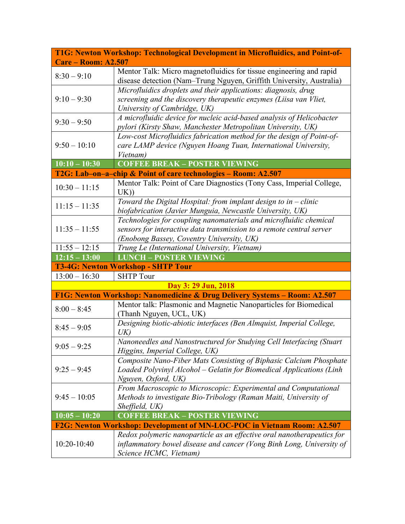|                            | T1G: Newton Workshop: Technological Development in Microfluidics, and Point-of-                                                                                                        |
|----------------------------|----------------------------------------------------------------------------------------------------------------------------------------------------------------------------------------|
| <b>Care – Room: A2.507</b> |                                                                                                                                                                                        |
| $8:30 - 9:10$              | Mentor Talk: Micro magnetofluidics for tissue engineering and rapid<br>disease detection (Nam-Trung Nguyen, Griffith University, Australia)                                            |
| $9:10 - 9:30$              | Microfluidics droplets and their applications: diagnosis, drug<br>screening and the discovery therapeutic enzymes (Liisa van Vliet,<br>University of Cambridge, UK)                    |
| $9:30 - 9:50$              | A microfluidic device for nucleic acid-based analysis of Helicobacter<br>pylori (Kirsty Shaw, Manchester Metropolitan University, UK)                                                  |
| $9:50 - 10:10$             | Low-cost Microfluidics fabrication method for the design of Point-of-<br>care LAMP device (Nguyen Hoang Tuan, International University,<br>Vietnam)                                    |
| $\overline{10:10-10:30}$   | <b>COFFEE BREAK - POSTER VIEWING</b>                                                                                                                                                   |
|                            | T2G: Lab-on-a-chip & Point of care technologies – Room: A2.507                                                                                                                         |
| $10:30 - 11:15$            | Mentor Talk: Point of Care Diagnostics (Tony Cass, Imperial College,<br>UK)                                                                                                            |
| $11:15 - 11:35$            | Toward the Digital Hospital: from implant design to in $-$ clinic<br>biofabrication (Javier Munguia, Newcastle University, UK)                                                         |
| $11:35 - 11:55$            | Technologies for coupling nanomaterials and microfluidic chemical<br>sensors for interactive data transmission to a remote central server<br>(Enobong Bassey, Coventry University, UK) |
| $11:55 - 12:15$            | Trung Le (International University, Vietnam)                                                                                                                                           |
| $12:15 - 13:00$            | <b>LUNCH - POSTER VIEWING</b>                                                                                                                                                          |
|                            | <b>T3-4G: Newton Workshop - SHTP Tour</b>                                                                                                                                              |
| $13:00 - 16:30$            | <b>SHTP Tour</b>                                                                                                                                                                       |
|                            | Day 3: 29 Jun, 2018                                                                                                                                                                    |
|                            | F1G: Newton Workshop: Nanomedicine & Drug Delivery Systems - Room: A2.507                                                                                                              |
| $8:00 - 8:45$              | Mentor talk: Plasmonic and Magnetic Nanoparticles for Biomedical<br>(Thanh Nguyen, UCL, UK)                                                                                            |
| $8:45 - 9:05$              | Designing biotic-abiotic interfaces (Ben Almquist, Imperial College,<br>UK)                                                                                                            |
| $9:05 - 9:25$              | Nanoneedles and Nanostructured for Studying Cell Interfacing (Stuart<br>Higgins, Imperial College, UK)                                                                                 |
| $9:25 - 9:45$              | Composite Nano-Fiber Mats Consisting of Biphasic Calcium Phosphate<br>Loaded Polyvinyl Alcohol – Gelatin for Biomedical Applications (Linh<br>Nguyen, Oxford, UK)                      |
| $9:45 - 10:05$             | From Macroscopic to Microscopic: Experimental and Computational<br>Methods to investigate Bio-Tribology (Raman Maiti, University of<br>Sheffield, UK)                                  |
| $10:05 - 10:20$            | <b>COFFEE BREAK - POSTER VIEWING</b>                                                                                                                                                   |
|                            | F2G: Newton Workshop: Development of MN-LOC-POC in Vietnam Room: A2.507                                                                                                                |
| $10:20-10:40$              | Redox polymeric nanoparticle as an effective oral nanotherapeutics for<br>inflammatory bowel disease and cancer (Vong Binh Long, University of<br>Science HCMC, Vietnam)               |